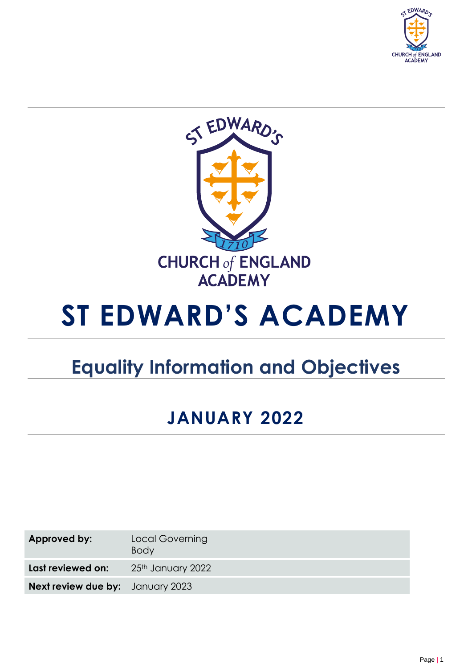



# **ST EDWARD'S ACADEMY**

## **Equality Information and Objectives**

### **JANUARY 2022**

| Approved by:                            | Local Governing<br><b>Body</b> |
|-----------------------------------------|--------------------------------|
| Last reviewed on:                       | 25th January 2022              |
| <b>Next review due by:</b> January 2023 |                                |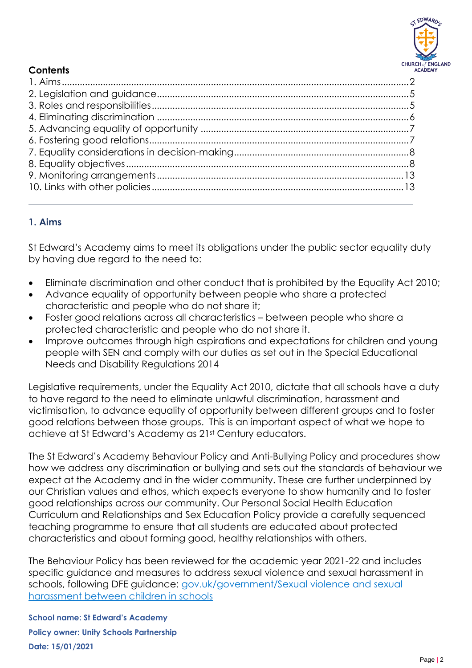

#### **Contents**

### <span id="page-1-0"></span>**1. Aims**

St Edward's Academy aims to meet its obligations under the public sector equality duty by having due regard to the need to:

- Eliminate discrimination and other conduct that is prohibited by the Equality Act 2010;
- Advance equality of opportunity between people who share a protected characteristic and people who do not share it;
- Foster good relations across all characteristics between people who share a protected characteristic and people who do not share it.
- Improve outcomes through high aspirations and expectations for children and young people with SEN and comply with our duties as set out in the Special Educational Needs and Disability Regulations 2014

Legislative requirements, under the Equality Act 2010, dictate that all schools have a duty to have regard to the need to eliminate unlawful discrimination, harassment and victimisation, to advance equality of opportunity between different groups and to foster good relations between those groups. This is an important aspect of what we hope to achieve at St Edward's Academy as 21st Century educators.

The St Edward's Academy Behaviour Policy and Anti-Bullying Policy and procedures show how we address any discrimination or bullying and sets out the standards of behaviour we expect at the Academy and in the wider community. These are further underpinned by our Christian values and ethos, which expects everyone to show humanity and to foster good relationships across our community. Our Personal Social Health Education Curriculum and Relationships and Sex Education Policy provide a carefully sequenced teaching programme to ensure that all students are educated about protected characteristics and about forming good, healthy relationships with others.

The Behaviour Policy has been reviewed for the academic year 2021-22 and includes specific guidance and measures to address sexual violence and sexual harassment in schools, following DFE guidance: [gov.uk/government/Sexual violence and sexual](https://assets.publishing.service.gov.uk/government/uploads/system/uploads/attachment_data/file/1014224/Sexual_violence_and_sexual_harassment_between_children_in_schools_and_colleges.pdf)  [harassment between children in schools](https://assets.publishing.service.gov.uk/government/uploads/system/uploads/attachment_data/file/1014224/Sexual_violence_and_sexual_harassment_between_children_in_schools_and_colleges.pdf)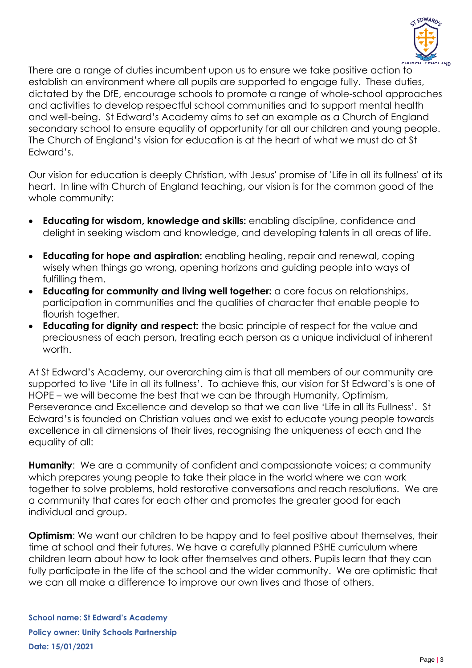

There are a range of duties incumbent upon us to ensure we take positive action to establish an environment where all pupils are supported to engage fully. These duties, dictated by the DfE, encourage schools to promote a range of whole-school approaches and activities to develop respectful school communities and to support mental health and well-being. St Edward's Academy aims to set an example as a Church of England secondary school to ensure equality of opportunity for all our children and young people. The Church of England's vision for education is at the heart of what we must do at St Edward's.

Our vision for education is deeply Christian, with Jesus' promise of 'Life in all its fullness' at its heart. In line with Church of England teaching, our vision is for the common good of the whole community:

- **Educating for wisdom, knowledge and skills:** enabling discipline, confidence and delight in seeking wisdom and knowledge, and developing talents in all areas of life.
- **Educating for hope and aspiration:** enabling healing, repair and renewal, coping wisely when things go wrong, opening horizons and guiding people into ways of fulfilling them.
- **Educating for community and living well together:** a core focus on relationships, participation in communities and the qualities of character that enable people to flourish together.
- **Educating for dignity and respect:** the basic principle of respect for the value and preciousness of each person, treating each person as a unique individual of inherent worth.

At St Edward's Academy, our overarching aim is that all members of our community are supported to live 'Life in all its fullness'. To achieve this, our vision for St Edward's is one of HOPE – we will become the best that we can be through Humanity, Optimism, Perseverance and Excellence and develop so that we can live 'Life in all its Fullness'. St Edward's is founded on Christian values and we exist to educate young people towards excellence in all dimensions of their lives, recognising the uniqueness of each and the equality of all:

**Humanity**: We are a community of confident and compassionate voices; a community which prepares young people to take their place in the world where we can work together to solve problems, hold restorative conversations and reach resolutions. We are a community that cares for each other and promotes the greater good for each individual and group.

**Optimism:** We want our children to be happy and to feel positive about themselves, their time at school and their futures. We have a carefully planned PSHE curriculum where children learn about how to look after themselves and others. Pupils learn that they can fully participate in the life of the school and the wider community. We are optimistic that we can all make a difference to improve our own lives and those of others.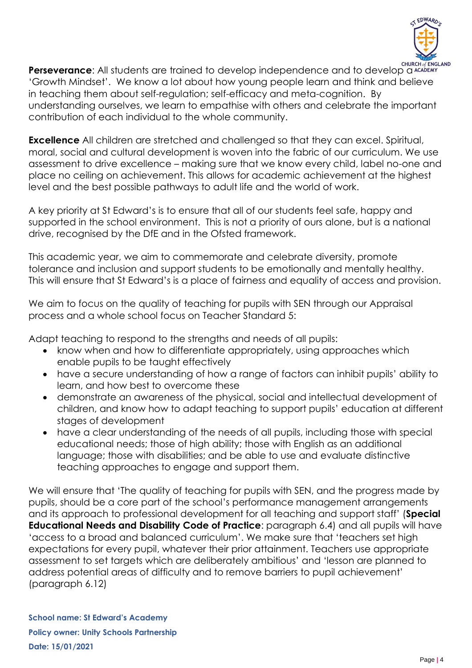

**Perseverance:** All students are trained to develop independence and to develop a ACADEMY 'Growth Mindset'. We know a lot about how young people learn and think and believe in teaching them about self-regulation; self-efficacy and meta-cognition. By understanding ourselves, we learn to empathise with others and celebrate the important contribution of each individual to the whole community.

**Excellence** All children are stretched and challenged so that they can excel. Spiritual, moral, social and cultural development is woven into the fabric of our curriculum. We use assessment to drive excellence – making sure that we know every child, label no-one and place no ceiling on achievement. This allows for academic achievement at the highest level and the best possible pathways to adult life and the world of work.

A key priority at St Edward's is to ensure that all of our students feel safe, happy and supported in the school environment. This is not a priority of ours alone, but is a national drive, recognised by the DfE and in the Ofsted framework.

This academic year, we aim to commemorate and celebrate diversity, promote tolerance and inclusion and support students to be emotionally and mentally healthy. This will ensure that St Edward's is a place of fairness and equality of access and provision.

We aim to focus on the quality of teaching for pupils with SEN through our Appraisal process and a whole school focus on Teacher Standard 5:

Adapt teaching to respond to the strengths and needs of all pupils:

- know when and how to differentiate appropriately, using approaches which enable pupils to be taught effectively
- have a secure understanding of how a range of factors can inhibit pupils' ability to learn, and how best to overcome these
- demonstrate an awareness of the physical, social and intellectual development of children, and know how to adapt teaching to support pupils' education at different stages of development
- have a clear understanding of the needs of all pupils, including those with special educational needs; those of high ability; those with English as an additional language; those with disabilities; and be able to use and evaluate distinctive teaching approaches to engage and support them.

We will ensure that 'The quality of teaching for pupils with SEN, and the progress made by pupils, should be a core part of the school's performance management arrangements and its approach to professional development for all teaching and support staff' (**Special Educational Needs and Disability Code of Practice**: paragraph 6.4) and all pupils will have 'access to a broad and balanced curriculum'. We make sure that 'teachers set high expectations for every pupil, whatever their prior attainment. Teachers use appropriate assessment to set targets which are deliberately ambitious' and 'lesson are planned to address potential areas of difficulty and to remove barriers to pupil achievement' (paragraph 6.12)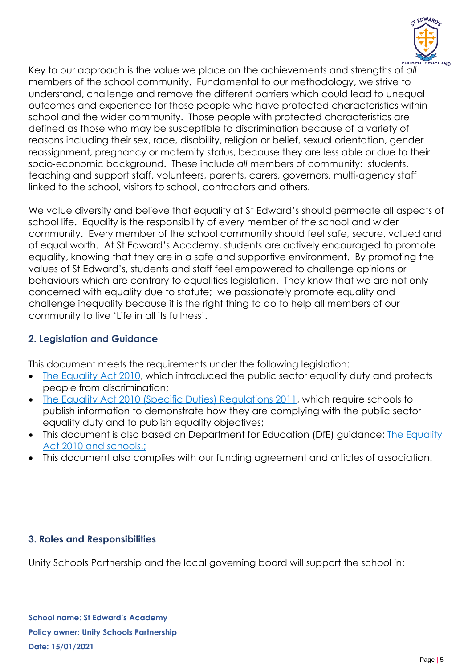

Key to our approach is the value we place on the achievements and strengths of *all*  members of the school community. Fundamental to our methodology, we strive to understand, challenge and remove the different barriers which could lead to unequal outcomes and experience for those people who have protected characteristics within school and the wider community. Those people with protected characteristics are defined as those who may be susceptible to discrimination because of a variety of reasons including their sex, race, disability, religion or belief, sexual orientation, gender reassignment, pregnancy or maternity status, because they are less able or due to their socio‐economic background. These include *all* members of community: students, teaching and support staff, volunteers, parents, carers, governors, multi-agency staff linked to the school, visitors to school, contractors and others.

We value diversity and believe that equality at St Edward's should permeate all aspects of school life. Equality is the responsibility of every member of the school and wider community. Every member of the school community should feel safe, secure, valued and of equal worth. At St Edward's Academy, students are actively encouraged to promote equality, knowing that they are in a safe and supportive environment. By promoting the values of St Edward's, students and staff feel empowered to challenge opinions or behaviours which are contrary to equalities legislation. They know that we are not only concerned with equality due to statute; we passionately promote equality and challenge inequality because it is the right thing to do to help all members of our community to live 'Life in all its fullness'.

#### <span id="page-4-0"></span>**2. Legislation and Guidance**

This document meets the requirements under the following legislation:

- [The Equality Act 2010,](http://www.legislation.gov.uk/ukpga/2010/15/contents) which introduced the public sector equality duty and protects people from discrimination;
- [The Equality Act 2010 \(Specific Duties\) Regulations 2011,](http://www.legislation.gov.uk/uksi/2011/2260/contents/made) which require schools to publish information to demonstrate how they are complying with the public sector equality duty and to publish equality objectives;
- This document is also based on Department for Education (DfE) guidance: The Equality [Act 2010 and schools.;](https://www.gov.uk/government/publications/equality-act-2010-advice-for-schools)
- This document also complies with our funding agreement and articles of association.

#### <span id="page-4-1"></span>**3. Roles and Responsibilities**

Unity Schools Partnership and the local governing board will support the school in: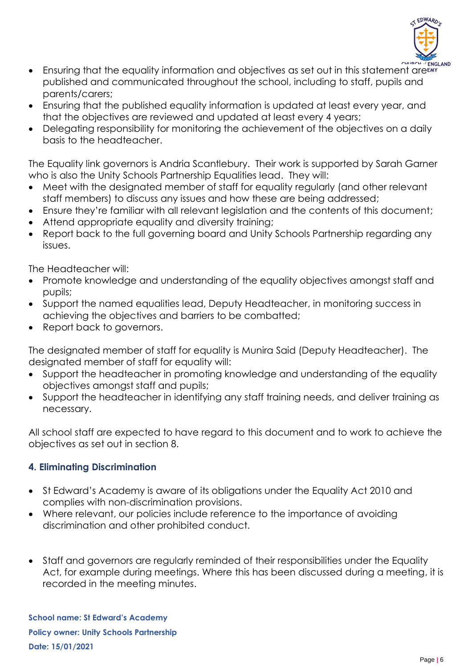

- Ensuring that the equality information and objectives as set out in this statement areany published and communicated throughout the school, including to staff, pupils and parents/carers;
- Ensuring that the published equality information is updated at least every year, and that the objectives are reviewed and updated at least every 4 years;
- Delegating responsibility for monitoring the achievement of the objectives on a daily basis to the headteacher.

The Equality link governors is Andria Scantlebury. Their work is supported by Sarah Garner who is also the Unity Schools Partnership Equalities lead. They will:

- Meet with the designated member of staff for equality regularly (and other relevant staff members) to discuss any issues and how these are being addressed;
- Ensure they're familiar with all relevant legislation and the contents of this document;
- Attend appropriate equality and diversity training;
- Report back to the full governing board and Unity Schools Partnership regarding any issues.

The Headteacher will:

- Promote knowledge and understanding of the equality objectives amongst staff and pupils;
- Support the named equalities lead, Deputy Headteacher, in monitoring success in achieving the objectives and barriers to be combatted;
- Report back to governors.

The designated member of staff for equality is Munira Said (Deputy Headteacher). The designated member of staff for equality will:

- Support the headteacher in promoting knowledge and understanding of the equality objectives amongst staff and pupils;
- Support the headteacher in identifying any staff training needs, and deliver training as necessary.

All school staff are expected to have regard to this document and to work to achieve the objectives as set out in section 8.

#### <span id="page-5-0"></span>**4. Eliminating Discrimination**

- St Edward's Academy is aware of its obligations under the Equality Act 2010 and complies with non-discrimination provisions.
- Where relevant, our policies include reference to the importance of avoiding discrimination and other prohibited conduct.
- Staff and governors are regularly reminded of their responsibilities under the Equality Act, for example during meetings. Where this has been discussed during a meeting, it is recorded in the meeting minutes.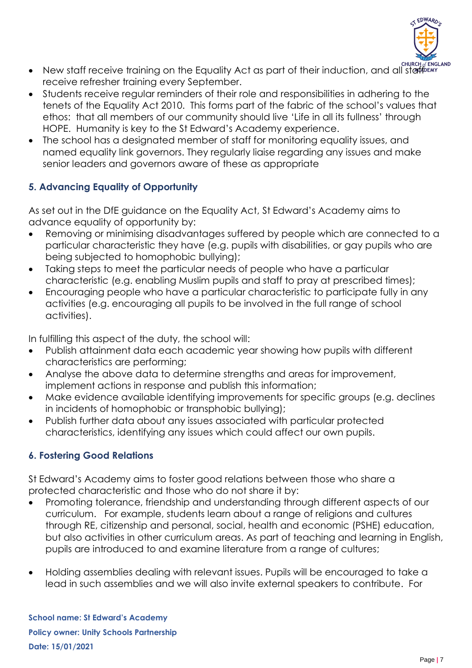

- New staff receive training on the Equality Act as part of their induction, and all staff ENN' ENGLAND receive refresher training every September.
- Students receive regular reminders of their role and responsibilities in adhering to the tenets of the Equality Act 2010. This forms part of the fabric of the school's values that ethos: that all members of our community should live 'Life in all its fullness' through HOPE. Humanity is key to the St Edward's Academy experience.
- The school has a designated member of staff for monitoring equality issues, and named equality link governors. They regularly liaise regarding any issues and make senior leaders and governors aware of these as appropriate

### <span id="page-6-0"></span>**5. Advancing Equality of Opportunity**

As set out in the DfE guidance on the Equality Act, St Edward's Academy aims to advance equality of opportunity by:

- Removing or minimising disadvantages suffered by people which are connected to a particular characteristic they have (e.g. pupils with disabilities, or gay pupils who are being subjected to homophobic bullying);
- Taking steps to meet the particular needs of people who have a particular characteristic (e.g. enabling Muslim pupils and staff to pray at prescribed times);
- Encouraging people who have a particular characteristic to participate fully in any activities (e.g. encouraging all pupils to be involved in the full range of school activities).

In fulfilling this aspect of the duty, the school will:

- Publish attainment data each academic year showing how pupils with different characteristics are performing;
- Analyse the above data to determine strengths and areas for improvement, implement actions in response and publish this information;
- Make evidence available identifying improvements for specific groups (e.g. declines in incidents of homophobic or transphobic bullying);
- Publish further data about any issues associated with particular protected characteristics, identifying any issues which could affect our own pupils.

#### <span id="page-6-1"></span>**6. Fostering Good Relations**

St Edward's Academy aims to foster good relations between those who share a protected characteristic and those who do not share it by:

- Promoting tolerance, friendship and understanding through different aspects of our curriculum. For example, students learn about a range of religions and cultures through RE, citizenship and personal, social, health and economic (PSHE) education, but also activities in other curriculum areas. As part of teaching and learning in English, pupils are introduced to and examine literature from a range of cultures;
- Holding assemblies dealing with relevant issues. Pupils will be encouraged to take a lead in such assemblies and we will also invite external speakers to contribute. For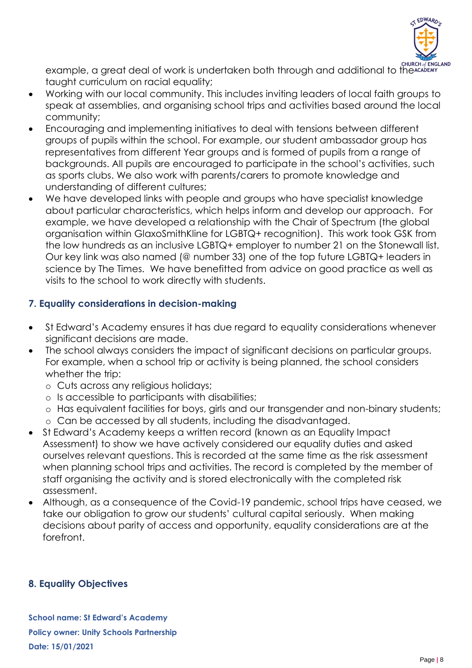

example, a great deal of work is undertaken both through and additional to the CHURCH of ENGLAND taught curriculum on racial equality;

- Working with our local community. This includes inviting leaders of local faith groups to speak at assemblies, and organising school trips and activities based around the local community;
- Encouraging and implementing initiatives to deal with tensions between different groups of pupils within the school. For example, our student ambassador group has representatives from different Year groups and is formed of pupils from a range of backgrounds. All pupils are encouraged to participate in the school's activities, such as sports clubs. We also work with parents/carers to promote knowledge and understanding of different cultures;
- We have developed links with people and groups who have specialist knowledge about particular characteristics, which helps inform and develop our approach. For example, we have developed a relationship with the Chair of Spectrum (the global organisation within GlaxoSmithKline for LGBTQ+ recognition). This work took GSK from the low hundreds as an inclusive LGBTQ+ employer to number 21 on the Stonewall list. Our key link was also named (@ number 33) one of the top future LGBTQ+ leaders in science by The Times. We have benefitted from advice on good practice as well as visits to the school to work directly with students.

#### <span id="page-7-0"></span>**7. Equality considerations in decision-making**

- St Edward's Academy ensures it has due regard to equality considerations whenever significant decisions are made.
- The school always considers the impact of significant decisions on particular groups. For example, when a school trip or activity is being planned, the school considers whether the trip:
	- o Cuts across any religious holidays;
	- o Is accessible to participants with disabilities;
	- o Has equivalent facilities for boys, girls and our transgender and non-binary students;
	- o Can be accessed by all students, including the disadvantaged.
- St Edward's Academy keeps a written record (known as an Equality Impact Assessment) to show we have actively considered our equality duties and asked ourselves relevant questions. This is recorded at the same time as the risk assessment when planning school trips and activities. The record is completed by the member of staff organising the activity and is stored electronically with the completed risk assessment.
- Although, as a consequence of the Covid-19 pandemic, school trips have ceased, we take our obligation to grow our students' cultural capital seriously. When making decisions about parity of access and opportunity, equality considerations are at the forefront.

#### <span id="page-7-1"></span>**8. Equality Objectives**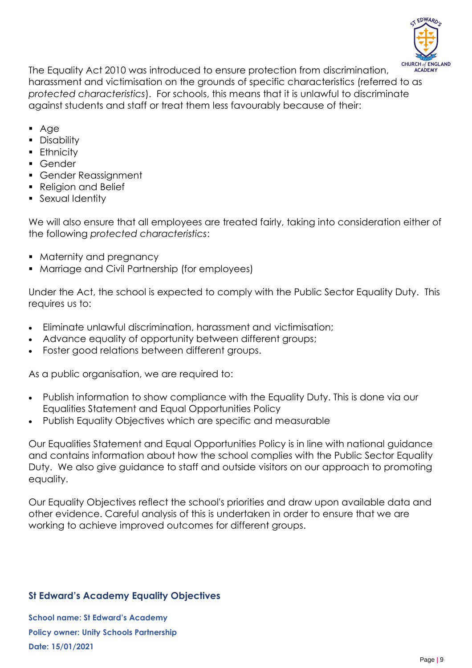

The Equality Act 2010 was introduced to ensure protection from discrimination, harassment and victimisation on the grounds of specific characteristics (referred to as *protected characteristics*). For schools, this means that it is unlawful to discriminate against students and staff or treat them less favourably because of their:

- Age
- Disability
- **Ethnicity**
- Gender
- Gender Reassignment
- Religion and Belief
- **•** Sexual Identity

We will also ensure that all employees are treated fairly, taking into consideration either of the following *protected characteristics*:

- Maternity and pregnancy
- Marriage and Civil Partnership (for employees)

Under the Act, the school is expected to comply with the Public Sector Equality Duty. This requires us to:

- Eliminate unlawful discrimination, harassment and victimisation;
- Advance equality of opportunity between different groups;
- Foster good relations between different groups.

As a public organisation, we are required to:

- Publish information to show compliance with the Equality Duty. This is done via our Equalities Statement and Equal Opportunities Policy
- Publish Equality Objectives which are specific and measurable

Our Equalities Statement and Equal Opportunities Policy is in line with national guidance and contains information about how the school complies with the Public Sector Equality Duty. We also give guidance to staff and outside visitors on our approach to promoting equality.

Our Equality Objectives reflect the school's priorities and draw upon available data and other evidence. Careful analysis of this is undertaken in order to ensure that we are working to achieve improved outcomes for different groups.

#### **St Edward's Academy Equality Objectives**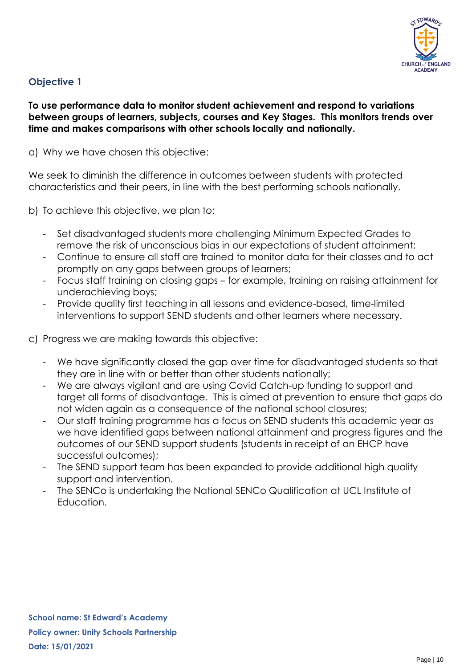

#### **Objective 1**

#### **To use performance data to monitor student achievement and respond to variations between groups of learners, subjects, courses and Key Stages. This monitors trends over time and makes comparisons with other schools locally and nationally.**

a) Why we have chosen this objective:

We seek to diminish the difference in outcomes between students with protected characteristics and their peers, in line with the best performing schools nationally.

- b) To achieve this objective, we plan to:
	- Set disadvantaged students more challenging Minimum Expected Grades to remove the risk of unconscious bias in our expectations of student attainment;
	- Continue to ensure all staff are trained to monitor data for their classes and to act promptly on any gaps between groups of learners;
	- Focus staff training on closing gaps for example, training on raising attainment for underachieving boys;
	- Provide quality first teaching in all lessons and evidence-based, time-limited interventions to support SEND students and other learners where necessary.
- c) Progress we are making towards this objective:
	- We have significantly closed the gap over time for disadvantaged students so that they are in line with or better than other students nationally;
	- We are always vigilant and are using Covid Catch-up funding to support and target all forms of disadvantage. This is aimed at prevention to ensure that gaps do not widen again as a consequence of the national school closures;
	- Our staff training programme has a focus on SEND students this academic year as we have identified gaps between national attainment and progress figures and the outcomes of our SEND support students (students in receipt of an EHCP have successful outcomes);
	- The SEND support team has been expanded to provide additional high quality support and intervention.
	- The SENCo is undertaking the National SENCo Qualification at UCL Institute of Education.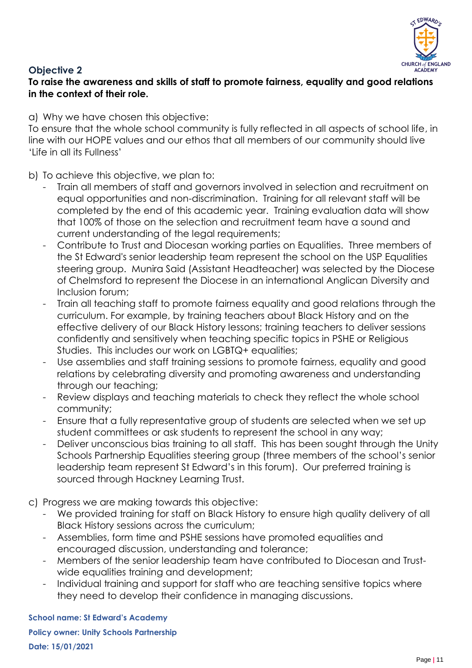

#### **Objective 2**

**To raise the awareness and skills of staff to promote fairness, equality and good relations in the context of their role.** 

a) Why we have chosen this objective:

To ensure that the whole school community is fully reflected in all aspects of school life, in line with our HOPE values and our ethos that all members of our community should live 'Life in all its Fullness'

b) To achieve this objective, we plan to:

- Train all members of staff and governors involved in selection and recruitment on equal opportunities and non-discrimination. Training for all relevant staff will be completed by the end of this academic year. Training evaluation data will show that 100% of those on the selection and recruitment team have a sound and current understanding of the legal requirements;
- Contribute to Trust and Diocesan working parties on Equalities. Three members of the St Edward's senior leadership team represent the school on the USP Equalities steering group. Munira Said (Assistant Headteacher) was selected by the Diocese of Chelmsford to represent the Diocese in an international Anglican Diversity and Inclusion forum;
- Train all teaching staff to promote fairness equality and good relations through the curriculum. For example, by training teachers about Black History and on the effective delivery of our Black History lessons; training teachers to deliver sessions confidently and sensitively when teaching specific topics in PSHE or Religious Studies. This includes our work on LGBTQ+ equalities;
- Use assemblies and staff training sessions to promote fairness, equality and good relations by celebrating diversity and promoting awareness and understanding through our teaching;
- Review displays and teaching materials to check they reflect the whole school community;
- Ensure that a fully representative group of students are selected when we set up student committees or ask students to represent the school in any way;
- Deliver unconscious bias training to all staff. This has been sought through the Unity Schools Partnership Equalities steering group (three members of the school's senior leadership team represent St Edward's in this forum). Our preferred training is sourced through Hackney Learning Trust.
- c) Progress we are making towards this objective:
	- We provided training for staff on Black History to ensure high quality delivery of all Black History sessions across the curriculum;
	- Assemblies, form time and PSHE sessions have promoted equalities and encouraged discussion, understanding and tolerance;
	- Members of the senior leadership team have contributed to Diocesan and Trustwide equalities training and development;
	- Individual training and support for staff who are teaching sensitive topics where they need to develop their confidence in managing discussions.

**School name: St Edward's Academy**

**Policy owner: Unity Schools Partnership Date: 15/01/2021**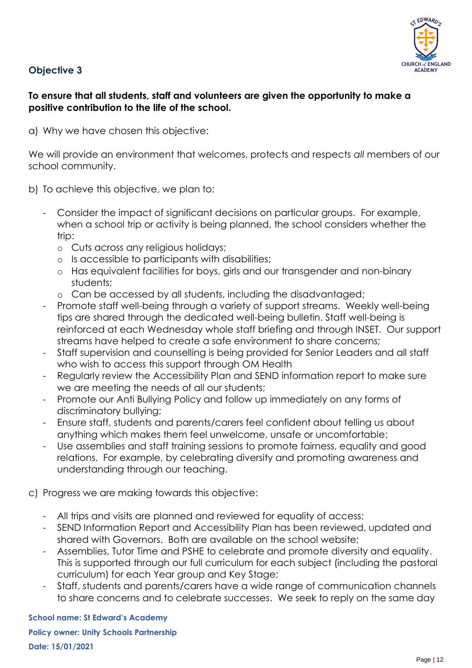

#### **Objective 3**

#### **To ensure that all students, staff and volunteers are given the opportunity to make a positive contribution to the life of the school.**

a) Why we have chosen this objective:

We will provide an environment that welcomes, protects and respects *all* members of our school community.

- b) To achieve this objective, we plan to:
	- Consider the impact of significant decisions on particular groups. For example, when a school trip or activity is being planned, the school considers whether the trip:
		- o Cuts across any religious holidays;
		- o Is accessible to participants with disabilities;
		- o Has equivalent facilities for boys, girls and our transgender and non-binary students;
		- o Can be accessed by all students, including the disadvantaged;
	- Promote staff well-being through a variety of support streams. Weekly well-being tips are shared through the dedicated well-being bulletin. Staff well-being is reinforced at each Wednesday whole staff briefing and through INSET. Our support streams have helped to create a safe environment to share concerns;
	- Staff supervision and counselling is being provided for Senior Leaders and all staff who wish to access this support through OM Health
	- Regularly review the Accessibility Plan and SEND information report to make sure we are meeting the needs of all our students;
	- Promote our Anti Bullying Policy and follow up immediately on any forms of discriminatory bullying;
	- Ensure staff, students and parents/carers feel confident about telling us about anything which makes them feel unwelcome, unsafe or uncomfortable;
	- Use assemblies and staff training sessions to promote fairness, equality and good relations. For example, by celebrating diversity and promoting awareness and understanding through our teaching.
- c) Progress we are making towards this objective:
	- All trips and visits are planned and reviewed for equality of access;
	- SEND Information Report and Accessibility Plan has been reviewed, updated and shared with Governors. Both are available on the school website;
	- Assemblies, Tutor Time and PSHE to celebrate and promote diversity and equality. This is supported through our full curriculum for each subject (including the pastoral curriculum) for each Year group and Key Stage;
	- Staff, students and parents/carers have a wide range of communication channels to share concerns and to celebrate successes. We seek to reply on the same day

**School name: St Edward's Academy**

**Policy owner: Unity Schools Partnership Date: 15/01/2021**